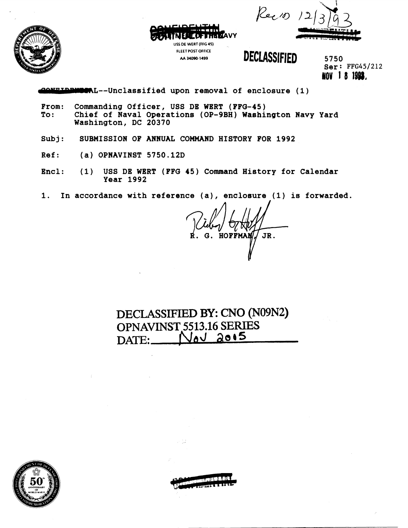



**LOFFINANY USS DE WERT (FFG 45) FLEET POST OFFICE**  AA 34090-1499 **DECLASSIFIED** 

5750 **HOV 18 1993.** 

**-L--Unclassified upon removal of enclosure (1)** 

- **From: Commanding Officer, USS DE WERT (FFG-45) To: Chief of Naval Operations (OP-9BH) Washington Navy Yard Washington, DC 20370**
- **Subj: SUBMISSION OF ANNUAL COMMAND HISTORY FOR 1992**
- **Ref: (a) OPNAVINST 5750.12D**
- **Encl: (1) USS DE WBRT (PFG 45) Command History for Calendar Year 1992**
- **1. In accordance with reference (a), enclosure (1) is forwarded.**

G. HOFFMAN JR.

**DECLASSIFIED BY: CNO (N09N2) OPNAVINST 5513.16 SERIES DATE:** Ned 2015

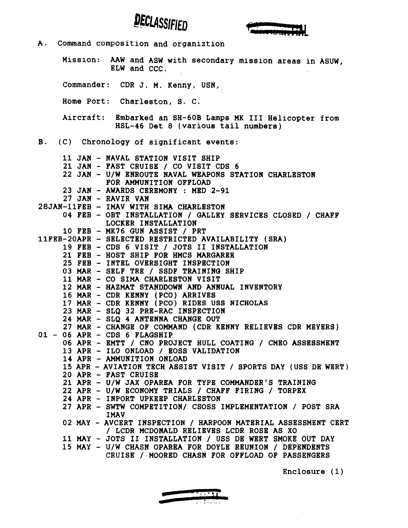



**A. Command composition and organiztion Mission: AAW and ASW with secondary mission areas in ASUW, ELW and CCC. Commander: CDR J. M. Kenny, USN, Home Port: Charleston, S. C. Aircraft: Embarked an SH-60B Lamps MK I11 Helicopter from HSL-46 Det 8 (various tail numbers) B. (C) Chronology of significant events: 11 JAN** - **NAVAL STATION VISIT SHIP 21 JAN** - **FAST CRUISE** / **CO VISIT CDS 6 22 JAN** - **U/W ENROUTE NAVAL WEAPONS STATION CHARLESTON FOR AMMUNITION OFPLOAD 23 JAN** - **AWARDS CEREMONY** : **MED 2-91 27 JAN** - **RAVIR VAN 28JAN-11FEB** - **IMAV WITH SIMA CHARLESTON 04 FEB** - **OBT INSTALLATION** / **GALLEY SERVICES CLOSED** / **CHAFF LOCKER INSTALLATION 10 FEB** - **MK76 GUN ASSIST** / **PRT 1lFEB-20APR** - **SELECTED RESTRICTED AVAILABILITY (SRA) 19 FEB** - **CDS 6 VISIT** / **JOTS I1 INSTALLATION 21 FEB** - **HOST SHIP FOR HMCS MARGAREE 25 FEB** - **INTEL OVERSIGHT INSPECTION 03 MAR** - **SELF TRE** / **SSDF TRAINING SHIP 11 MAR** - **CO SIMA CHARLESTON VISIT 12 MAR** - **HAZMAT STANDDOWN AND ANNUAL INVENTORY 16 MAR** - **CDR KENNY (PCO) ARRIVES 17 MAR** - **CDR KENNY (PCO) RIDES USS NICHOLAS 23 MAR** - **SLQ 32 PRE-RAC INSPECTION 24 MAR** - **SLQ 4 ANTENNA CHANGE OUT 27 MAR** - **CHANGE OF COMMAND (CDR KENNY RELIEVES CDR MEYERS) <sup>01</sup>**- **06 APR** - **CDS 6 FLAGSHIP 06 APR** - **EMTT** / **CNO PROJECT HULL COATING** / **CMEO ASSESSMENT 13 APR** - **ILO ONLOAD** / **BOSS VALIDATION 14 APR** - **AMMUNITION ONLOAD 15 APR** - **AVIATION TECH ASSIST VISIT** / **SPORTS DAY (USS DE WERT) 20 APR** - **FAST CRUISE 21 APR** - **U/W JAX OPAREA FOR TYPE COMMANDER'S TRAINING 22 APR** - **U/W ECONOMY TRIALS** / **CHAFF FIRING** / **TORPEX 24 APR** - **INPORT UPKEEP CHARLESTON 27 APR** - **SWTW COMPETITION/ CSOSS IMPLEMENTATION** / **POST SRA IMAV 02 MAY** - **AVCERT INSPECTION** / **HARPOON MATERIAL ASSESSMENT CERT**  / **LCDR MCDONALD RELIEVES LCDR ROSE AS XO 11 MAY** - **JOTS I1 INSTALLATION** / **USS DE WERT SMOKE OUT DAY 15 MAY** - **U/W CHASN OPAREA FOR DOYLE REUNION** / **DEPENDENTS CRUISE** / **MOORED CHASN FOR OFFLOAD OF PASSENGERS** 

**Enclosure (1)** 

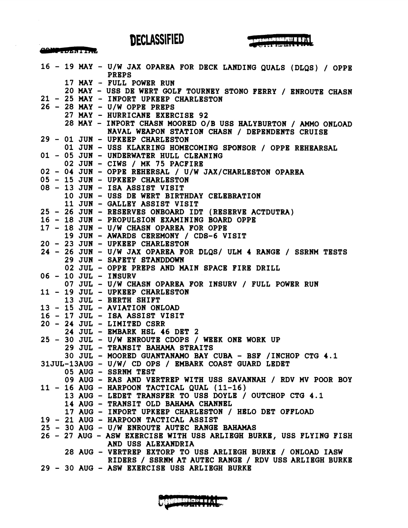COMPTONIERT



|  |  | 16 - 19 MAY - U/W JAX OPAREA FOR DECK LANDING QUALS (DLQS) / OPPE<br><b>PREPS</b>                                  |
|--|--|--------------------------------------------------------------------------------------------------------------------|
|  |  | 17 MAY - FULL POWER RUN                                                                                            |
|  |  | 20 MAY - USS DE WERT GOLF TOURNEY STONO FERRY / ENROUTE CHASN                                                      |
|  |  | 21 - 25 MAY - INPORT UPKEEP CHARLESTON                                                                             |
|  |  | $26 - 28$ MAY - U/W OPPE PREPS                                                                                     |
|  |  | 27 MAY - HURRICANE EXERCISE 92                                                                                     |
|  |  | 28 MAY - INPORT CHASN MOORED O/B USS HALYBURTON / AMMO ONLOAD                                                      |
|  |  | NAVAL WEAPON STATION CHASN / DEPENDENTS CRUISE                                                                     |
|  |  | 29 - 01 JUN - UPKEEP CHARLESTON                                                                                    |
|  |  | 01 JUN - USS KLAKRING HOMECOMING SPONSOR / OPPE REHEARSAL                                                          |
|  |  | 01 - 05 JUN - UNDERWATER HULL CLEANING                                                                             |
|  |  | 02 JUN - CIWS / MK 75 PACFIRE                                                                                      |
|  |  | 02 - 04 JUN - OPPE REHERSAL / U/W JAX/CHARLESTON OPAREA                                                            |
|  |  | 05 - 15 JUN - UPKEEP CHARLESTON                                                                                    |
|  |  | 08 - 13 JUN - ISA ASSIST VISIT                                                                                     |
|  |  | 10 JUN - USS DE WERT BIRTHDAY CELEBRATION                                                                          |
|  |  | 11 JUN - GALLEY ASSIST VISIT                                                                                       |
|  |  | 25 - 26 JUN - RESERVES ONBOARD IDT (RESERVE ACTDUTRA)                                                              |
|  |  | 16 - 18 JUN - PROPULSION EXAMINING BOARD OPPE                                                                      |
|  |  | 17 - 18 JUN - U/W CHASN OPAREA FOR OPPE                                                                            |
|  |  | 19 JUN - AWARDS CEREMONY / CDS-6 VISIT                                                                             |
|  |  | 20 - 23 JUN - UPKEEP CHARLESTON                                                                                    |
|  |  | 24 - 26 JUN - U/W JAX OPAREA FOR DLQS/ ULM 4 RANGE / SSRNM TESTS                                                   |
|  |  | 29 JUN - SAFETY STANDDOWN                                                                                          |
|  |  | 02 JUL - OPPE PREPS AND MAIN SPACE FIRE DRILL                                                                      |
|  |  | 06 - 10 JUL - INSURV                                                                                               |
|  |  | 07 JUL - U/W CHASN OPAREA FOR INSURV / FULL POWER RUN                                                              |
|  |  | 11 - 19 JUL - UPKEEP CHARLESTON                                                                                    |
|  |  | 13 JUL - BERTH SHIFT                                                                                               |
|  |  | 13 - 15 JUL - AVIATION ONLOAD                                                                                      |
|  |  | 16 - 17 JUL - ISA ASSIST VISIT                                                                                     |
|  |  | $20 - 24$ JUL - LIMITED CSRR                                                                                       |
|  |  | 24 JUL - EMBARK HSL 46 DET 2                                                                                       |
|  |  | 25 - 30 JUL - U/W ENROUTE CDOPS / WEEK ONE WORK UP                                                                 |
|  |  | 29 JUL - TRANSIT BAHAMA STRAITS                                                                                    |
|  |  | 30 JUL - MOORED GUANTANAMO BAY CUBA - BSF / INCHOP CTG 4.1<br>31JUL-13AUG - U/W/ CD OPS / EMBARK COAST GUARD LEDET |
|  |  | 05 AUG - SSRNM TEST                                                                                                |
|  |  | 09 AUG - RAS AND VERTREP WITH USS SAVANNAH / RDV MV POOR BOY                                                       |
|  |  | $11 - 16$ AUG - HARPOON TACTICAL QUAL (11-16)                                                                      |
|  |  | 13 AUG - LEDET TRANSFER TO USS DOYLE / OUTCHOP CTG 4.1                                                             |
|  |  | 14 AUG - TRANSIT OLD BAHAMA CHANNEL                                                                                |
|  |  | 17 AUG - INPORT UPKEEP CHARLESTON / HELO DET OFFLOAD                                                               |
|  |  | 19 - 21 AUG - HARPOON TACTICAL ASSIST                                                                              |
|  |  | 25 - 30 AUG - U/W ENROUTE AUTEC RANGE BAHAMAS                                                                      |
|  |  | 26 - 27 AUG - ASW EXERCISE WITH USS ARLIEGH BURKE, USS FLYING FISH                                                 |
|  |  | AND USS ALEXANDRIA                                                                                                 |
|  |  | 28 AUG - VERTREP EXTORP TO USS ARLIEGH BURKE / ONLOAD IASW                                                         |
|  |  | RIDERS / SSRNM AT AUTEC RANGE / RDV USS ARLIEGH BURKE                                                              |
|  |  | 29 - 30 AUG - ASW EXERCISE USS ARLIEGH BURKE                                                                       |
|  |  |                                                                                                                    |

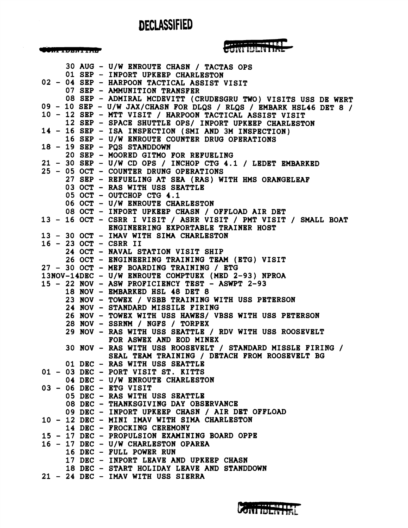CONFIDENTIAL

## CONTIUENTINE

|  |  | 30 AUG - U/W ENROUTE CHASN / TACTAS OPS                                          |
|--|--|----------------------------------------------------------------------------------|
|  |  | 01 SEP - INPORT UPKEEP CHARLESTON                                                |
|  |  | 02 - 04 SEP - HARPOON TACTICAL ASSIST VISIT                                      |
|  |  | 07 SEP - AMMUNITION TRANSFER                                                     |
|  |  | 08 SEP - ADMIRAL MCDEVITT (CRUDESGRU TWO) VISITS USS DE WERT                     |
|  |  | 09 - 10 SEP - U/W JAX/CHASN FOR DLQS / RLQS / EMBARK HSL46 DET 8 /               |
|  |  | 10 - 12 SEP - MTT VISIT / HARPOON TACTICAL ASSIST VISIT                          |
|  |  | 12 SEP - SPACE SHUTTLE OPS/ INPORT UPKEEP CHARLESTON                             |
|  |  | 14 - 16 SEP - ISA INSPECTION (SMI AND 3M INSPECTION)                             |
|  |  | 16 SEP - U/W ENROUTE COUNTER DRUG OPERATIONS                                     |
|  |  | $18 - 19$ SEP - PQS STANDDOWN                                                    |
|  |  | 20 SEP - MOORED GITMO FOR REFUELING                                              |
|  |  | 21 - 30 SEP - U/W CD OPS / INCHOP CTG 4.1 / LEDET EMBARKED                       |
|  |  | 25 - 05 OCT - COUNTER DRUNG OPERATIONS                                           |
|  |  | 27 SEP - REFUELING AT SEA (RAS) WITH HMS ORANGELEAF                              |
|  |  |                                                                                  |
|  |  | 03 OCT - RAS WITH USS SEATTLE                                                    |
|  |  | 05 OCT - OUTCHOP CTG 4.1                                                         |
|  |  | 06 OCT - U/W ENROUTE CHARLESTON                                                  |
|  |  | 08 OCT - INPORT UPKEEP CHASN / OFFLOAD AIR DET                                   |
|  |  | 13 - 16 OCT - CSRR I VISIT / ASRR VISIT / PMT VISIT / SMALL BOAT                 |
|  |  | ENGINEERING EXPORTABLE TRAINER HOST                                              |
|  |  | 13 - 30 OCT - IMAV WITH SIMA CHARLESTON                                          |
|  |  | 16 - 23 OCT - CSRR II                                                            |
|  |  | 24 OCT - NAVAL STATION VISIT SHIP                                                |
|  |  | 26 OCT - ENGINEERING TRAINING TEAM (ETG) VISIT                                   |
|  |  | 27 - 30 OCT - MEF BOARDING TRAINING / ETG                                        |
|  |  | 13NOV-14DEC - U/W ENROUTE COMPTUEX (MED 2-93) NPROA                              |
|  |  |                                                                                  |
|  |  |                                                                                  |
|  |  | 15 - 22 NOV - ASW PROFICIENCY TEST - ASWPT 2-93                                  |
|  |  | 18 NOV - EMBARKED HSL 48 DET 8                                                   |
|  |  | 23 NOV - TOWEX / VSBB TRAINING WITH USS PETERSON                                 |
|  |  | 24 NOV - STANDARD MISSILE FIRING                                                 |
|  |  | 26 NOV - TOWEX WITH USS HAWES/ VBSS WITH USS PETERSON                            |
|  |  | 28 NOV - SSRNM / NGFS / TORPEX                                                   |
|  |  | 29 NOV - RAS WITH USS SEATTLE / RDV WITH USS ROOSEVELT                           |
|  |  | FOR ASWEX AND EOD MINEX                                                          |
|  |  | 30 NOV - RAS WITH USS ROOSEVELT / STANDARD MISSLE FIRING /                       |
|  |  | SEAL TEAM TRAINING / DETACH FROM ROOSEVELT BG                                    |
|  |  | 01 DEC - RAS WITH USS SEATTLE                                                    |
|  |  | 01 - 03 DEC - PORT VISIT ST. KITTS                                               |
|  |  | 04 DEC - U/W ENROUTE CHARLESTON                                                  |
|  |  | 03 - 06 DEC - ETG VISIT                                                          |
|  |  | 05 DEC - RAS WITH USS SEATTLE                                                    |
|  |  | 08 DEC - THANKSGIVING DAY OBSERVANCE                                             |
|  |  | 09 DEC - INPORT UPKEEP CHASN / AIR DET OFFLOAD                                   |
|  |  | 10 - 12 DEC - MINI IMAV WITH SIMA CHARLESTON                                     |
|  |  | 14 DEC - FROCKING CEREMONY                                                       |
|  |  | 15 - 17 DEC - PROPULSION EXAMINING BOARD OPPE                                    |
|  |  | 16 - 17 DEC - U/W CHARLESTON OPAREA                                              |
|  |  | 16 DEC - FULL POWER RUN                                                          |
|  |  |                                                                                  |
|  |  | 17 DEC - INPORT LEAVE AND UPKEEP CHASN                                           |
|  |  | 18 DEC - START HOLIDAY LEAVE AND STANDDOWN<br>21 - 24 DEC - IMAV WITH USS SIERRA |

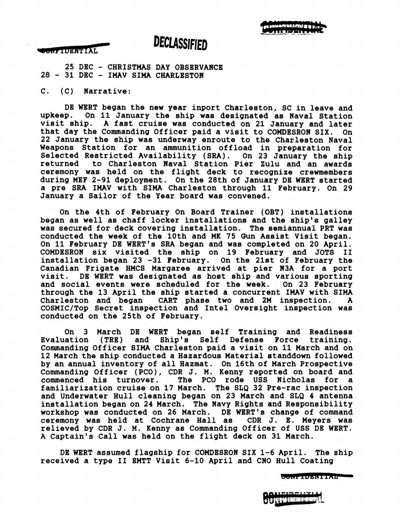

**SEARCH OF STANDARD** 

**25 DEC** - **CHRISTMAS DAY OBSERVANCE <sup>28</sup>**- **31 DEC** - **IMAV SIMA CHARLESTON** 

**C. (C) Narrative:** 

**DE WERT began the new year inport Charleston, SC in leave and upkeep. On 11 January the ship was designated as Naval Station visit ship. A fast cruise was conducted on 21 January and later that day the Commanding Officer paid a visit to COHDESRON SIX. On 22 January the ship was underway enroute to the Charleston Naval Weapons Station for an ammunition offload in preparation for Selected Restricted Availability (SRA). On 23 January the ship returned to Charleston Naval Station Pier Zulu and an awards ceremony was held on the flight deck to recognize crewmembers during MEF 2-91 deployment. On the 28th of January DE WERT started a pre SRA IMAV with SIMA Charleston through 11 February. On 29 January a Sailor of the Year board was convened.** 

**On the 4th of February On Board Trainer (OBT) installations began as well as chaff locker installations and the ship's galley was secured for deck covering installation. The semiannual PRT was**  conducted the week of the 10th and MK 75 Gun Assist Visit began. On 11 February DE WERT's SRA began and was completed on 20 April. **COMDESRON six visited the ship on 19 February and JOTS I1 installation began 23 -31 February. On the 21st of February the Canadian Frigate HMCS Margaree arrived at pier N3A for a port**  DE WERT was designated as host ship and various sporting<br>ial events were scheduled for the week. On 23 February and social events were scheduled for the week. **through the 13 April the ship started a concurrent IMAV with SIMA CART** phase two and 2M inspection. **COSMICITop Secret inspection and Intel Oversight inspection was conducted on the 25th of February.** 

**On 3 March DE WERT began self Training and Readiness Evaluation (TRE) and Ship's Self Defense Force training. Commanding Officer SIMA Charleston paid a visit on 11 March and on 12 March the ship conducted a Hazardous Material standdown followed by an annual inventory of all Hazmat. On 16th of March Prospective Commanding Officer (PCO)** , **CDR J. M. Kenny reported on board and**  The PCO rode USS Nicholas for a **familiarization cruise on 17 March. The SLQ 32 Pre-rac inspection and Underwater Hull cleaning began on 23 March and SLQ 4 antenna installation began on 24 March. The Navy Rights and Responsibility workshop was conducted on 26 March. DE WERT's change of command**  ceremony was held at Cochrane Hall as **relieved by CDR J. M. Kenny as Commanding Officer of USS DE WERT. A Captain's Call was held on the flight deck on 31 March.** 

**DE WERT assumed flagship for COMDESRON SIX 1-6 April. The ship received a type I1 EMTT Visit 6-10 April and CNO Hull Coating** 

CONFIDENTIAL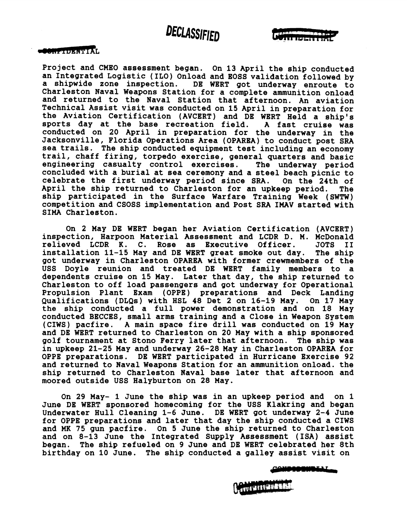

### **CONCRETAINMENT**

**Project and CMEO assessment began. On 13 April the ship conducted an Integrated Logistic (ILO) Onload and ROSS validation followed by**  DE WERT got underway enroute to **Charleston Naval Weapons Station for a complete ammunition onload and returned to the Naval Station that afternoon. An aviation Technical Assist visit was conducted on 15 April in preparation for the Aviation Certification (AVCERT) and DE WERT Held a ship's sports day at the base recreation field. A fast cruise was conducted on 20 April in preparation for the underway in the Jacksonville, Florida Operations Area (OPAREA) to conduct post SRA sea trails. The ship conducted equipment test including an economy trail, chaff firing, torpedo exercise, general quarters and basic engineering casualty control exercises. The underway period concluded with a burial at sea ceremony and a steel beach picnic to celebrate the first underway period since SRA. On the 24th of April the ship returned to Charleston for an upkeep period. The ship participated in the Surface Warfare Training Week (SWTW) competition and CSOSS implementation and Post SRA IMAV started with SIMA Charleston.** 

**On 2 May DE WERT began her Aviation Certification (AVCERT) inspection, Harpoon Material Assessment and LCDR D. M. McDonald relieved LCDR K. C. Rose as Executive Officer. JOTS I1**  installation 11-15 May and DE WERT great smoke out day. **got underway in Charleston OPAREA with former crewmembers of the USS Doyle reunion and treated DE WERT family members to a dependents cruise on 15 May. Later that day, the ship returned to Charleston to off load passengers and got underway for Operational Propulsion Plant Exam (OPPE) preparations and Deck Landing Qualifications (DLQs) with HSL 48 Det 2 on 16-19 May. On 17 May the ship conducted a full power demonstration and on 18 May conducted BECCES, small arms training and a Close in Weapon System (CIWS) pacfire. A main space fire drill was conducted on 19 May and DE WERT returned to Charleston on 20 May with a ship sponsored golf tournament at Stono Ferry later that afternoon. The ship was in upkeep 21-25 May and underway 26-28 May in Charleston OPAREA for OPPE preparations. DE WERT participated in Hurricane Exercise 92 and returned to Naval Weapons Station for an ammunition onload. the ship returned to Charleston Naval base later that afternoon and moored outside USS Halyburton on 28 May.** 

**On 29 May- 1 June the ship was in an upkeep period and on 1 June DE WERT sponsored homecoming for the USS Klakring and began Underwater Hull Cleaning 1-6 June. DE WERT got underway 2-4 June for OPPE preparations and later that day the ship conducted a CIWS and MK 75 gun pacfire. On 5 June the ship returned to Charleston and on 8-13 June the Integrated Supply Assessment (ISA) assist began. The ship refueled on 9 June and DE WERT celebrated her 8th birthday on 10 June. The ship conducted a galley assist visit on** 

**MODIFICAL** 

**ALIMPINE**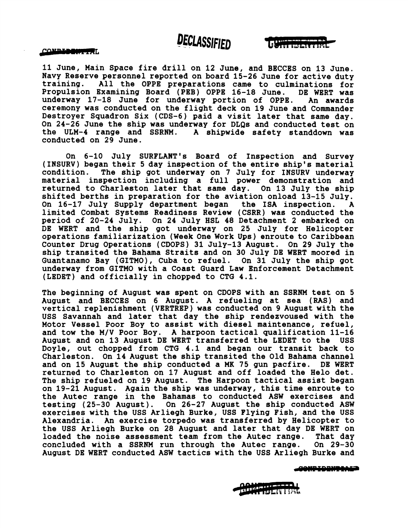UUTTI ILELTTIINE

**11 June, Main Space fire drill on 12 June, and BECCES on 13 June. Navy Reserve personnel reported on board 15-26 June for active duty training. All the OPPE preparations came to culminations for Propulsion Examining Board (PEB) OPPE 16-18 June. DE WERT was underway 17-18 June for underway portion of OPPE. An awards ceremony was conducted on the flight deck on 19 June and Commander Destroyer Squadron Six (CDS-6) paid a visit later that same day. On 24-26 June the ship was underway for DLQs and conducted test on the ULM-4 range and SSRNM. A shipwide safety standdown was conducted on 29 June.** 

**On 6-10 July SURFLANT's Board of Inspection and Survey (INSURV) began their 5 day inspection of the entire ship's material condition. The ship got underway on 7 July for INSURV underway material inspection including a full power demonstration and returned to Charleston later that same day. On 13 July the ship shifted berths in preparation for the aviation onload 13-15 July. On 16-17 July Supply department began the ISA inspection. A limited Combat Systems Readiness Review (CSRR) was conducted the period of 20-24 July. On 24 July HSL 48 Detachment 2 embarked on DE WERT and the ship got underway on 25 July for Helicopter operations familiarization (Week One Work Ups) enroute to Caribbean Counter Drug Operations (CDOPS) 31 July-13 August. On 29 July the ship transited the Bahama Straits and on 30 July DE WERT moored in Guantanamo Bay (GITMO), Cuba to refuel. On 31 July the ship got underway from GITMO with a Coast Guard Law Enforcement Detachment (LEDET) and officially in chopped to CTG 4.1.** 

**The beginning of August was spent on CDOPS with an SSRNM test on 5 August and BECCES on 6 August. A refueling at sea (RAS) and vertical replenishment (VERTREP) was conducted on 9 August with the USS Savannah and later that day the ship rendezvoused with the Motor Vessel Poor Boy to assist with diesel maintenance, refuel, and tow the M/V Poor Boy. A harpoon tactical qualification 11-16 August and on 13 August DE WERT transferred the LEDET to the USS Doyle, out chopped from CTG 4.1 and began our transit back to Charleston. On 14 August the ship transited the Old Bahama channel and on 15 August the ship conducted a MK 75 gun pacfire. DE WERT returned to Charleston on 17 August and off loaded the Helo det. The ship refueled on 19 August. The Harpoon tactical assist began on 19-21 August. Again the ship was underway, this time enroute to the Autec range in the Bahamas to conducted ASW exercises and testing (25-30 August). On 26-27 August the ship conducted ASW exercises with the USS Arliegh Burke, USS Flying Fish, and the USS Alexandria. An exercise torpedo was transferred by Helicopter to the USS Arliegh Burke on 28 August and later that day DE WERT on loaded the noise assessment team from the Autec range. That day**  concluded with a SSRNM run through the Autec range. **August DE WERT conducted ASW tactics with the USS Arliegh Burke and** 

**CONTINUES CO** 

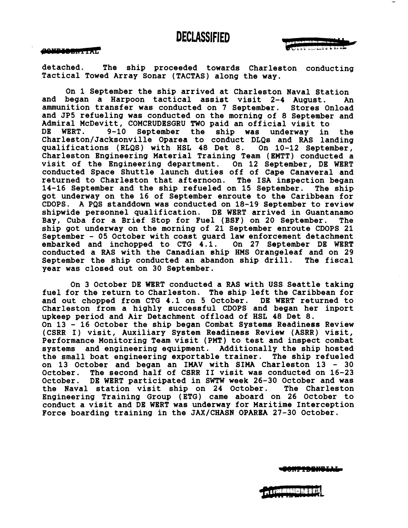#### tond better in the

**detached. The ship proceeded towards Charleston conducting Tactical Towed Array Sonar (TACTAS) along the way.** 

**On 1 September the ship arrived at Charleston Naval Station and began a Harpoon tactical assist visit 2-4 August. An ammunition transfer was conducted on 7 September. Stores Onload and JP5 refueling was conducted on the morning of 8 September and Admiral McDevitt, COMCRUDESGRU TWO paid an official visit to**  September the ship was underway in the **Charleston/Jacksonville Oparea to conduct DLQs and RAS landing qualifications (RLQS) with HSL 48 Det 8. On 10-12 September, Charleston Engineering Material Training Team (EMTT) conducted a visit of the Engineering department. On 12 September, DE WERT conducted Space Shuttle launch duties off of Cape Canaveral and returned to Charleston that afternoon. The ISA inspection began 14-16 September and the ship refueled on 15 September. The ship got underway on the 16 of September enroute to the Caribbean for CDOPS. A PQS standdown was conducted on 18-19 September to review shipwide personnel qualification. DE WERT arrived in Guantanamo Bay, Cuba for a Brief Stop for Fuel (BSF) on 20 September. The ship got underway on the morning of 21 September enroute CDOPS 21 September** - **05 October with coast guard law enforcement detachment embarked and inchopped to CTG 4.1. On 27 September DE WERT conducted a RAS with the Canadian ship HMS Orangeleaf and on 29 September the ship conducted an abandon ship drill. The fiscal year was closed out on 30 September.** 

**On 3 October DE WERT conducted a RAS with USS Seattle taking fuel for the return to Charleston. The ship left the Caribbean for and out chopped from CTG 4.1 on 5 October. DE WERT returned to Charleston from a highly successful CDOPS and began her inport upkeep period and Air Detachment offload of HSL 48 Det 8. On 13** - **16 October the ship began Combat Systems Readiness Review (CSRR I) visit, Auxiliary System Readiness Review (ASRR) visit, Performance Monitoring Team visit (PMT) to test and inspect combat systems and engineering equipment. Additionally the ship hosted the small boat engineering exportable trainer. The ship refueled on 13 October and began an IMAV with SIMA Charleston 13** - **<sup>30</sup> October. The second half of CSRR I1 visit was conducted on 16-23 October. DE WERT participated in SWTW week 26-30 October and was**  the Naval station visit ship on 24 October. **Engineering Training Group (ETG) came aboard on 26 October to conduct a visit and DE WERT was underway for Maritime Interception Force boarding training in the JAX/CHASN OPAREA 27-30 October.** 

NPTDBNGIJ